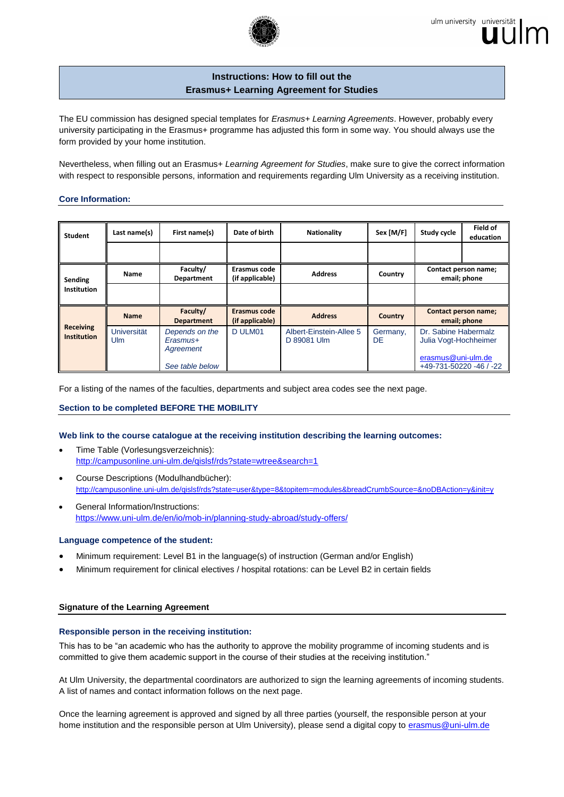

## **Instructions: How to fill out the Erasmus+ Learning Agreement for Studies**

The EU commission has designed special templates for *Erasmus+ Learning Agreements*. However, probably every university participating in the Erasmus+ programme has adjusted this form in some way. You should always use the form provided by your home institution.

Nevertheless, when filling out an Erasmus+ *Learning Agreement for Studies*, make sure to give the correct information with respect to responsible persons, information and requirements regarding Ulm University as a receiving institution.

## **Core Information:**

| <b>Student</b>                         | Last name(s)       | First name(s)                           | Date of birth                          | <b>Nationality</b>                     | Sex [M/F]      | Field of<br>Study cycle<br>education          |  |
|----------------------------------------|--------------------|-----------------------------------------|----------------------------------------|----------------------------------------|----------------|-----------------------------------------------|--|
|                                        |                    |                                         |                                        |                                        |                |                                               |  |
| Sending<br>Institution                 | Name               | Faculty/<br>Department                  | Erasmus code<br>(if applicable)        | <b>Address</b>                         | Country        | Contact person name;<br>email; phone          |  |
|                                        |                    |                                         |                                        |                                        |                |                                               |  |
|                                        | <b>Name</b>        | Faculty/<br><b>Department</b>           | <b>Erasmus code</b><br>(if applicable) | <b>Address</b>                         | <b>Country</b> | <b>Contact person name;</b><br>email; phone   |  |
| <b>Receiving</b><br><b>Institution</b> | Universität<br>Ulm | Depends on the<br>Erasmus+<br>Agreement | D ULM01                                | Albert-Einstein-Allee 5<br>D 89081 Ulm | Germany,<br>DE | Dr. Sabine Habermalz<br>Julia Vogt-Hochheimer |  |
|                                        |                    | See table below                         |                                        |                                        |                | erasmus@uni-ulm.de<br>+49-731-50220 -46 / -22 |  |

For a listing of the names of the faculties, departments and subject area codes see the next page.

## **Section to be completed BEFORE THE MOBILITY**

## **Web link to the course catalogue at the receiving institution describing the learning outcomes:**

- Time Table (Vorlesungsverzeichnis): <http://campusonline.uni-ulm.de/qislsf/rds?state=wtree&search=1>
- Course Descriptions (Modulhandbücher): <http://campusonline.uni-ulm.de/qislsf/rds?state=user&type=8&topitem=modules&breadCrumbSource=&noDBAction=y&init=y>
- General Information/Instructions: <https://www.uni-ulm.de/en/io/mob-in/planning-study-abroad/study-offers/>

#### **Language competence of the student:**

- Minimum requirement: Level B1 in the language(s) of instruction (German and/or English)
- Minimum requirement for clinical electives / hospital rotations: can be Level B2 in certain fields

#### **Signature of the Learning Agreement**

#### **Responsible person in the receiving institution:**

This has to be "an academic who has the authority to approve the mobility programme of incoming students and is committed to give them academic support in the course of their studies at the receiving institution."

At Ulm University, the departmental coordinators are authorized to sign the learning agreements of incoming students. A list of names and contact information follows on the next page.

Once the learning agreement is approved and signed by all three parties (yourself, the responsible person at your home institution and the responsible person at Ulm University), please send a digital copy to [erasmus@uni-ulm.de](mailto:erasmus@uni-ulm.de)